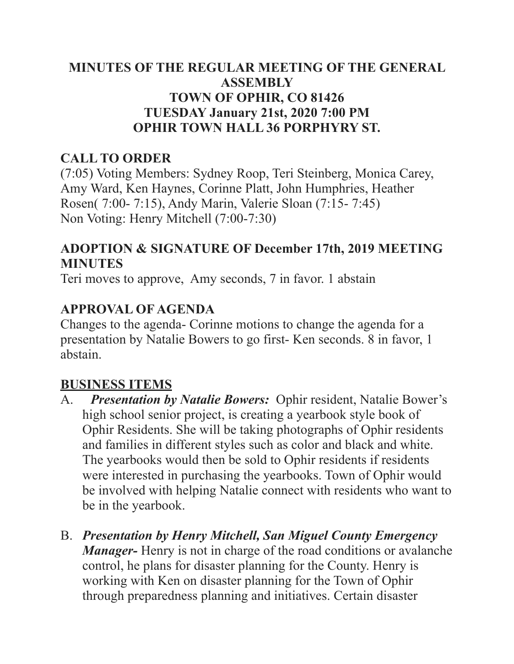### **MINUTES OF THE REGULAR MEETING OF THE GENERAL ASSEMBLY TOWN OF OPHIR, CO 81426 TUESDAY January 21st, 2020 7:00 PM OPHIR TOWN HALL 36 PORPHYRY ST.**

### **CALL TO ORDER**

(7:05) Voting Members: Sydney Roop, Teri Steinberg, Monica Carey, Amy Ward, Ken Haynes, Corinne Platt, John Humphries, Heather Rosen( 7:00- 7:15), Andy Marin, Valerie Sloan (7:15- 7:45) Non Voting: Henry Mitchell (7:00-7:30)

### **ADOPTION & SIGNATURE OF December 17th, 2019 MEETING MINUTES**

Teri moves to approve, Amy seconds, 7 in favor. 1 abstain

### **APPROVAL OF AGENDA**

Changes to the agenda- Corinne motions to change the agenda for a presentation by Natalie Bowers to go first- Ken seconds. 8 in favor, 1 abstain.

### **BUSINESS ITEMS**

- A. *Presentation by Natalie Bowers:* Ophir resident, Natalie Bower's high school senior project, is creating a yearbook style book of Ophir Residents. She will be taking photographs of Ophir residents and families in different styles such as color and black and white. The yearbooks would then be sold to Ophir residents if residents were interested in purchasing the yearbooks. Town of Ophir would be involved with helping Natalie connect with residents who want to be in the yearbook.
- B. *Presentation by Henry Mitchell, San Miguel County Emergency Manager-* Henry is not in charge of the road conditions or avalanche control, he plans for disaster planning for the County. Henry is working with Ken on disaster planning for the Town of Ophir through preparedness planning and initiatives. Certain disaster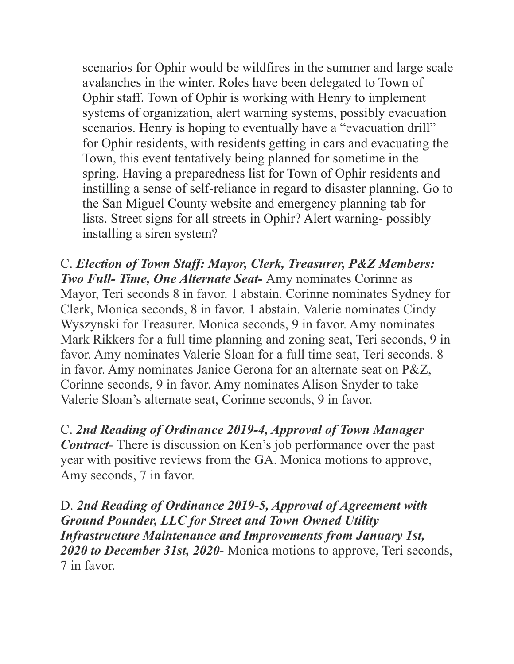scenarios for Ophir would be wildfires in the summer and large scale avalanches in the winter. Roles have been delegated to Town of Ophir staff. Town of Ophir is working with Henry to implement systems of organization, alert warning systems, possibly evacuation scenarios. Henry is hoping to eventually have a "evacuation drill" for Ophir residents, with residents getting in cars and evacuating the Town, this event tentatively being planned for sometime in the spring. Having a preparedness list for Town of Ophir residents and instilling a sense of self-reliance in regard to disaster planning. Go to the San Miguel County website and emergency planning tab for lists. Street signs for all streets in Ophir? Alert warning- possibly installing a siren system?

C. *Election of Town Staff: Mayor, Clerk, Treasurer, P&Z Members: Two Full- Time, One Alternate Seat-* Amy nominates Corinne as Mayor, Teri seconds 8 in favor. 1 abstain. Corinne nominates Sydney for Clerk, Monica seconds, 8 in favor. 1 abstain. Valerie nominates Cindy Wyszynski for Treasurer. Monica seconds, 9 in favor. Amy nominates Mark Rikkers for a full time planning and zoning seat, Teri seconds, 9 in favor. Amy nominates Valerie Sloan for a full time seat, Teri seconds. 8 in favor. Amy nominates Janice Gerona for an alternate seat on P&Z, Corinne seconds, 9 in favor. Amy nominates Alison Snyder to take Valerie Sloan's alternate seat, Corinne seconds, 9 in favor.

C. *2nd Reading of Ordinance 2019-4, Approval of Town Manager Contract*- There is discussion on Ken's job performance over the past year with positive reviews from the GA. Monica motions to approve, Amy seconds, 7 in favor.

D. *2nd Reading of Ordinance 2019-5, Approval of Agreement with Ground Pounder, LLC for Street and Town Owned Utility Infrastructure Maintenance and Improvements from January 1st, 2020 to December 31st, 2020*- Monica motions to approve, Teri seconds, 7 in favor.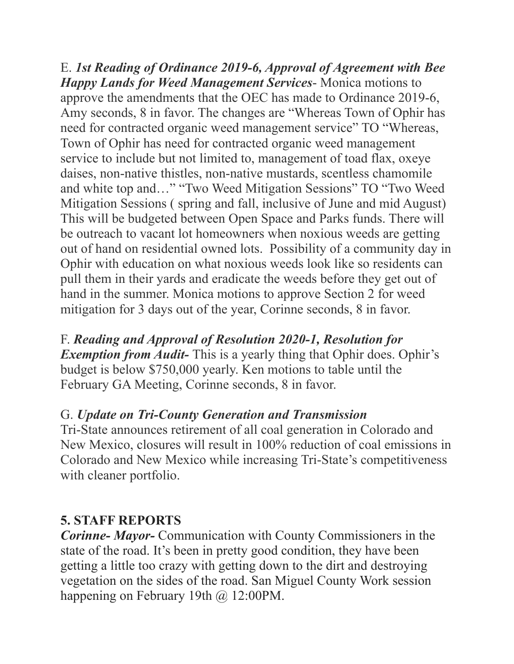E. *1st Reading of Ordinance 2019-6, Approval of Agreement with Bee Happy Lands for Weed Management Services*- Monica motions to approve the amendments that the OEC has made to Ordinance 2019-6, Amy seconds, 8 in favor. The changes are "Whereas Town of Ophir has need for contracted organic weed management service" TO "Whereas, Town of Ophir has need for contracted organic weed management service to include but not limited to, management of toad flax, oxeye daises, non-native thistles, non-native mustards, scentless chamomile and white top and…" "Two Weed Mitigation Sessions" TO "Two Weed Mitigation Sessions ( spring and fall, inclusive of June and mid August) This will be budgeted between Open Space and Parks funds. There will be outreach to vacant lot homeowners when noxious weeds are getting out of hand on residential owned lots. Possibility of a community day in Ophir with education on what noxious weeds look like so residents can pull them in their yards and eradicate the weeds before they get out of hand in the summer. Monica motions to approve Section 2 for weed mitigation for 3 days out of the year, Corinne seconds, 8 in favor.

# F. *Reading and Approval of Resolution 2020-1, Resolution for Exemption from Audit*-This is a yearly thing that Ophir does. Ophir's

budget is below \$750,000 yearly. Ken motions to table until the February GA Meeting, Corinne seconds, 8 in favor.

# G. *Update on Tri-County Generation and Transmission*

Tri-State announces retirement of all coal generation in Colorado and New Mexico, closures will result in 100% reduction of coal emissions in Colorado and New Mexico while increasing Tri-State's competitiveness with cleaner portfolio.

## **5. STAFF REPORTS**

*Corinne- Mayor-* Communication with County Commissioners in the state of the road. It's been in pretty good condition, they have been getting a little too crazy with getting down to the dirt and destroying vegetation on the sides of the road. San Miguel County Work session happening on February 19th @ 12:00PM.